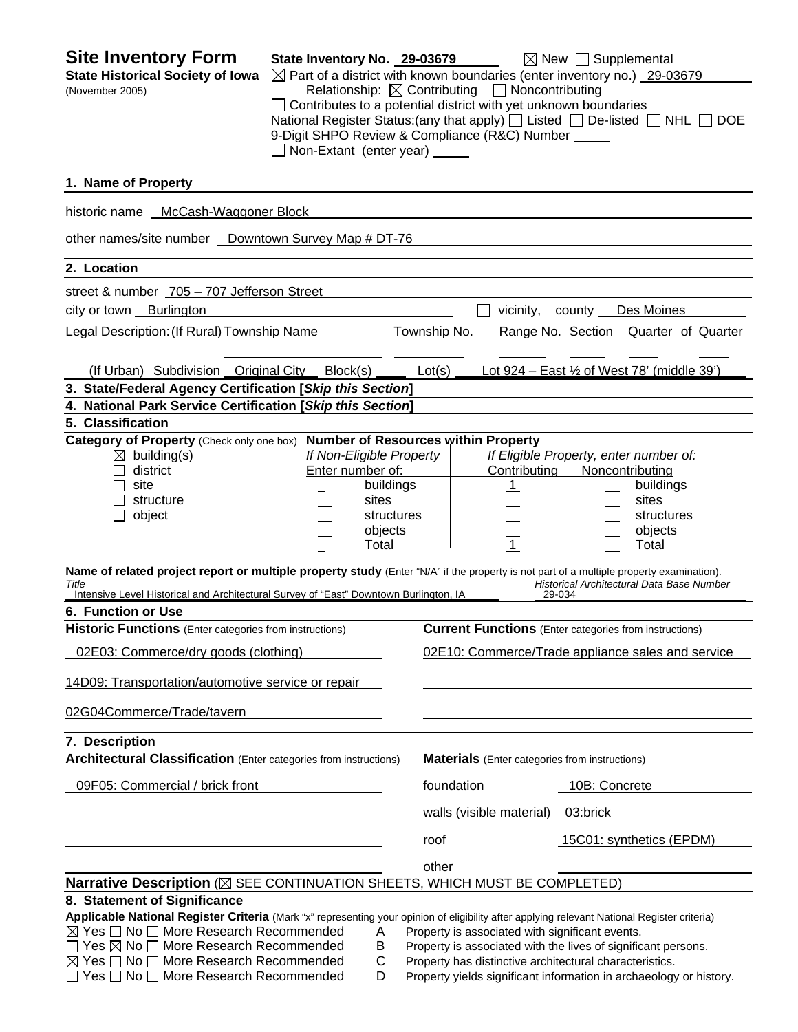**Site Inventory Form** State Inventory No. 29-03679  $\boxtimes$  New  $\Box$  Supplemental **State Historical Society of Iowa**  $\boxtimes$  Part of a district with known boundaries (enter inventory no.) 29-03679 (November 2005) Relationship:ContributingNoncontributing □ Contributes to a potential district with yet unknown boundaries National Register Status:(any that apply)  $\Box$  Listed  $\Box$  De-listed  $\Box$  NHL  $\Box$  DOE 9-Digit SHPO Review & Compliance (R&C) Number Non-Extant (enter year) **1. Name of Property**  historic name McCash-Waggoner Block other names/site number <u>Downtown Survey Map # DT-76</u> **2. Location**  street & number 705 – 707 Jefferson Street city or town Burlington vicinity, county Des Moines Legal Description: (If Rural) Township Name Township No. Range No. Section Quarter of Quarter (If Urban) Subdivision Original City Block(s) Lot(s) Lot 924 – East ½ of West 78' (middle 39') **3. State/Federal Agency Certification [***Skip this Section***] 4. National Park Service Certification [***Skip this Section***] 5. Classification Category of Property** (Check only one box) **Number of Resources within Property** building(s) *If Non-Eligible Property If Eligible Property, enter number of:* district Enter number of: Contributing Noncontributing site **buildings** | 1 buildings structure sites sites sites sites sites sites sites object and the structures structures in the structures object structures  $\qquad \qquad \qquad \qquad \text{objects} \qquad \qquad \qquad \qquad \qquad \text{...} \qquad \qquad \text{objects}$  Total 1 Total **Name of related project report or multiple property study** (Enter "N/A" if the property is not part of a multiple property examination). *Title Historical Architectural Data Base Number*  Intensive Level Historical and Architectural Survey of "East" Downtown Burlington, IA **6. Function or Use Historic Functions** (Enter categories from instructions) **Current Functions** (Enter categories from instructions) 02E03: Commerce/dry goods (clothing) 02E10: Commerce/Trade appliance sales and service 14D09: Transportation/automotive service or repair 02G04Commerce/Trade/tavern **7. Description Architectural Classification** (Enter categories from instructions) **Materials** (Enter categories from instructions) 09F05: Commercial / brick front foundation foundation foundation foundation found to the concrete walls (visible material) 03:brick roof 15C01: synthetics (EPDM) other contracts and contracts of the contracts of the contracts of the contracts of the contracts of the contracts of the contracts of the contracts of the contracts of the contracts of the contracts of the contracts of th **Narrative Description** ( $\boxtimes$  SEE CONTINUATION SHEETS, WHICH MUST BE COMPLETED) **8. Statement of Significance Applicable National Register Criteria** (Mark "x" representing your opinion of eligibility after applying relevant National Register criteria)  $\boxtimes$  Yes  $\Box$  No  $\Box$  More Research Recommended A Property is associated with significant events.  $\Box$  Yes  $\boxtimes$  No  $\Box$  More Research Recommended B Property is associated with the lives of significant persons.  $\boxtimes$  Yes  $\square$  No  $\square$  More Research Recommended C Property has distinctive architectural characteristics.<br>  $\square$  Yes  $\square$  No  $\square$  More Research Recommended D Property yields significant information in archaeology D Property yields significant information in archaeology or history.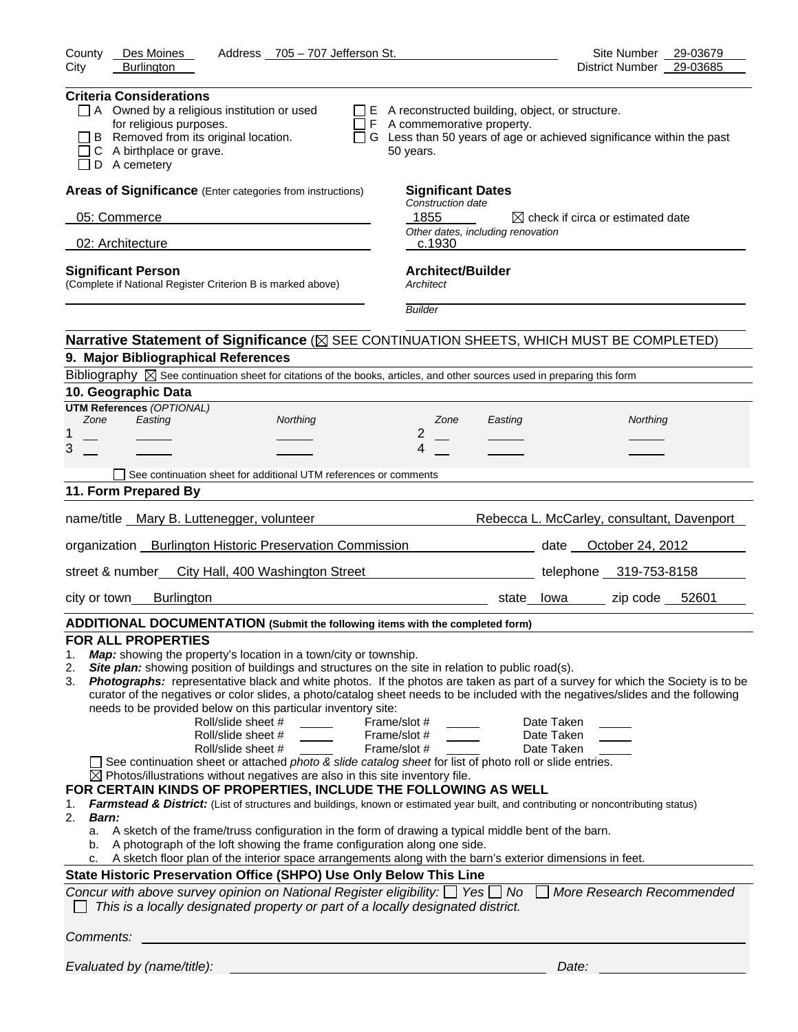| Des Moines<br>Address 705 - 707 Jefferson St.<br>County                                                                                                                                                                                                                                                                                                                                                                                                                                                                                                                                                                                                                                                                                                                                                                                                                                                                                                                                                                                                                                                                                                                                                                                                                                                                                                                                                                                                                                                                                                                                                                                                                                                                                    | Site Number<br>29-03679                    |
|--------------------------------------------------------------------------------------------------------------------------------------------------------------------------------------------------------------------------------------------------------------------------------------------------------------------------------------------------------------------------------------------------------------------------------------------------------------------------------------------------------------------------------------------------------------------------------------------------------------------------------------------------------------------------------------------------------------------------------------------------------------------------------------------------------------------------------------------------------------------------------------------------------------------------------------------------------------------------------------------------------------------------------------------------------------------------------------------------------------------------------------------------------------------------------------------------------------------------------------------------------------------------------------------------------------------------------------------------------------------------------------------------------------------------------------------------------------------------------------------------------------------------------------------------------------------------------------------------------------------------------------------------------------------------------------------------------------------------------------------|--------------------------------------------|
| City<br><b>Burlington</b>                                                                                                                                                                                                                                                                                                                                                                                                                                                                                                                                                                                                                                                                                                                                                                                                                                                                                                                                                                                                                                                                                                                                                                                                                                                                                                                                                                                                                                                                                                                                                                                                                                                                                                                  | 29-03685<br>District Number                |
| <b>Criteria Considerations</b><br>$\Box$ A Owned by a religious institution or used<br>$\Box$ E A reconstructed building, object, or structure.<br>for religious purposes.<br>$\Box$ F A commemorative property.<br>B Removed from its original location.<br>$\Box$ G Less than 50 years of age or achieved significance within the past<br>C A birthplace or grave.<br>50 years.<br>D A cemetery                                                                                                                                                                                                                                                                                                                                                                                                                                                                                                                                                                                                                                                                                                                                                                                                                                                                                                                                                                                                                                                                                                                                                                                                                                                                                                                                          |                                            |
| Areas of Significance (Enter categories from instructions)<br><b>Significant Dates</b>                                                                                                                                                                                                                                                                                                                                                                                                                                                                                                                                                                                                                                                                                                                                                                                                                                                                                                                                                                                                                                                                                                                                                                                                                                                                                                                                                                                                                                                                                                                                                                                                                                                     |                                            |
| Construction date<br>1855                                                                                                                                                                                                                                                                                                                                                                                                                                                                                                                                                                                                                                                                                                                                                                                                                                                                                                                                                                                                                                                                                                                                                                                                                                                                                                                                                                                                                                                                                                                                                                                                                                                                                                                  |                                            |
| 05: Commerce<br>Other dates, including renovation                                                                                                                                                                                                                                                                                                                                                                                                                                                                                                                                                                                                                                                                                                                                                                                                                                                                                                                                                                                                                                                                                                                                                                                                                                                                                                                                                                                                                                                                                                                                                                                                                                                                                          | $\bowtie$ check if circa or estimated date |
| 02: Architecture<br>c.1930                                                                                                                                                                                                                                                                                                                                                                                                                                                                                                                                                                                                                                                                                                                                                                                                                                                                                                                                                                                                                                                                                                                                                                                                                                                                                                                                                                                                                                                                                                                                                                                                                                                                                                                 |                                            |
| <b>Architect/Builder</b><br><b>Significant Person</b><br>(Complete if National Register Criterion B is marked above)<br>Architect                                                                                                                                                                                                                                                                                                                                                                                                                                                                                                                                                                                                                                                                                                                                                                                                                                                                                                                                                                                                                                                                                                                                                                                                                                                                                                                                                                                                                                                                                                                                                                                                          |                                            |
| <b>Builder</b>                                                                                                                                                                                                                                                                                                                                                                                                                                                                                                                                                                                                                                                                                                                                                                                                                                                                                                                                                                                                                                                                                                                                                                                                                                                                                                                                                                                                                                                                                                                                                                                                                                                                                                                             |                                            |
| Narrative Statement of Significance ( $\boxtimes$ SEE CONTINUATION SHEETS, WHICH MUST BE COMPLETED)                                                                                                                                                                                                                                                                                                                                                                                                                                                                                                                                                                                                                                                                                                                                                                                                                                                                                                                                                                                                                                                                                                                                                                                                                                                                                                                                                                                                                                                                                                                                                                                                                                        |                                            |
| 9. Major Bibliographical References                                                                                                                                                                                                                                                                                                                                                                                                                                                                                                                                                                                                                                                                                                                                                                                                                                                                                                                                                                                                                                                                                                                                                                                                                                                                                                                                                                                                                                                                                                                                                                                                                                                                                                        |                                            |
| Bibliography $\boxtimes$ See continuation sheet for citations of the books, articles, and other sources used in preparing this form                                                                                                                                                                                                                                                                                                                                                                                                                                                                                                                                                                                                                                                                                                                                                                                                                                                                                                                                                                                                                                                                                                                                                                                                                                                                                                                                                                                                                                                                                                                                                                                                        |                                            |
| 10. Geographic Data                                                                                                                                                                                                                                                                                                                                                                                                                                                                                                                                                                                                                                                                                                                                                                                                                                                                                                                                                                                                                                                                                                                                                                                                                                                                                                                                                                                                                                                                                                                                                                                                                                                                                                                        |                                            |
| <b>UTM References (OPTIONAL)</b><br>Easting<br>Zone<br>Northing<br>Zone<br>Easting                                                                                                                                                                                                                                                                                                                                                                                                                                                                                                                                                                                                                                                                                                                                                                                                                                                                                                                                                                                                                                                                                                                                                                                                                                                                                                                                                                                                                                                                                                                                                                                                                                                         | Northing                                   |
| 2<br>1                                                                                                                                                                                                                                                                                                                                                                                                                                                                                                                                                                                                                                                                                                                                                                                                                                                                                                                                                                                                                                                                                                                                                                                                                                                                                                                                                                                                                                                                                                                                                                                                                                                                                                                                     |                                            |
| 3<br>4                                                                                                                                                                                                                                                                                                                                                                                                                                                                                                                                                                                                                                                                                                                                                                                                                                                                                                                                                                                                                                                                                                                                                                                                                                                                                                                                                                                                                                                                                                                                                                                                                                                                                                                                     |                                            |
| See continuation sheet for additional UTM references or comments                                                                                                                                                                                                                                                                                                                                                                                                                                                                                                                                                                                                                                                                                                                                                                                                                                                                                                                                                                                                                                                                                                                                                                                                                                                                                                                                                                                                                                                                                                                                                                                                                                                                           |                                            |
| 11. Form Prepared By                                                                                                                                                                                                                                                                                                                                                                                                                                                                                                                                                                                                                                                                                                                                                                                                                                                                                                                                                                                                                                                                                                                                                                                                                                                                                                                                                                                                                                                                                                                                                                                                                                                                                                                       |                                            |
| name/title _Mary B. Luttenegger, volunteer                                                                                                                                                                                                                                                                                                                                                                                                                                                                                                                                                                                                                                                                                                                                                                                                                                                                                                                                                                                                                                                                                                                                                                                                                                                                                                                                                                                                                                                                                                                                                                                                                                                                                                 | Rebecca L. McCarley, consultant, Davenport |
| organization Burlington Historic Preservation Commission                                                                                                                                                                                                                                                                                                                                                                                                                                                                                                                                                                                                                                                                                                                                                                                                                                                                                                                                                                                                                                                                                                                                                                                                                                                                                                                                                                                                                                                                                                                                                                                                                                                                                   | date <b>October 24, 2012</b>               |
| street & number<br>City Hall, 400 Washington Street                                                                                                                                                                                                                                                                                                                                                                                                                                                                                                                                                                                                                                                                                                                                                                                                                                                                                                                                                                                                                                                                                                                                                                                                                                                                                                                                                                                                                                                                                                                                                                                                                                                                                        | telephone 319-753-8158                     |
| <b>Burlington</b><br>city or town<br>state                                                                                                                                                                                                                                                                                                                                                                                                                                                                                                                                                                                                                                                                                                                                                                                                                                                                                                                                                                                                                                                                                                                                                                                                                                                                                                                                                                                                                                                                                                                                                                                                                                                                                                 | zip code 52601<br>lowa                     |
|                                                                                                                                                                                                                                                                                                                                                                                                                                                                                                                                                                                                                                                                                                                                                                                                                                                                                                                                                                                                                                                                                                                                                                                                                                                                                                                                                                                                                                                                                                                                                                                                                                                                                                                                            |                                            |
| ADDITIONAL DOCUMENTATION (Submit the following items with the completed form)                                                                                                                                                                                                                                                                                                                                                                                                                                                                                                                                                                                                                                                                                                                                                                                                                                                                                                                                                                                                                                                                                                                                                                                                                                                                                                                                                                                                                                                                                                                                                                                                                                                              |                                            |
| <b>FOR ALL PROPERTIES</b><br>Map: showing the property's location in a town/city or township.<br>1.<br>Site plan: showing position of buildings and structures on the site in relation to public road(s).<br>2.<br>Photographs: representative black and white photos. If the photos are taken as part of a survey for which the Society is to be<br>3.<br>curator of the negatives or color slides, a photo/catalog sheet needs to be included with the negatives/slides and the following<br>needs to be provided below on this particular inventory site:<br>Roll/slide sheet #<br>Frame/slot #<br>Date Taken<br>Roll/slide sheet #<br>Frame/slot #<br>Date Taken<br>Roll/slide sheet #<br>Frame/slot #<br>Date Taken<br>See continuation sheet or attached photo & slide catalog sheet for list of photo roll or slide entries.<br>$\boxtimes$ Photos/illustrations without negatives are also in this site inventory file.<br>FOR CERTAIN KINDS OF PROPERTIES, INCLUDE THE FOLLOWING AS WELL<br>Farmstead & District: (List of structures and buildings, known or estimated year built, and contributing or noncontributing status)<br>1.<br>2.<br><b>Barn:</b><br>A sketch of the frame/truss configuration in the form of drawing a typical middle bent of the barn.<br>a.<br>A photograph of the loft showing the frame configuration along one side.<br>b.<br>A sketch floor plan of the interior space arrangements along with the barn's exterior dimensions in feet.<br>c.<br>State Historic Preservation Office (SHPO) Use Only Below This Line<br>Concur with above survey opinion on National Register eligibility: $\Box$ Yes $\Box$ No<br>This is a locally designated property or part of a locally designated district. | More Research Recommended                  |
| Comments:                                                                                                                                                                                                                                                                                                                                                                                                                                                                                                                                                                                                                                                                                                                                                                                                                                                                                                                                                                                                                                                                                                                                                                                                                                                                                                                                                                                                                                                                                                                                                                                                                                                                                                                                  |                                            |
| Evaluated by (name/title):                                                                                                                                                                                                                                                                                                                                                                                                                                                                                                                                                                                                                                                                                                                                                                                                                                                                                                                                                                                                                                                                                                                                                                                                                                                                                                                                                                                                                                                                                                                                                                                                                                                                                                                 | Date:                                      |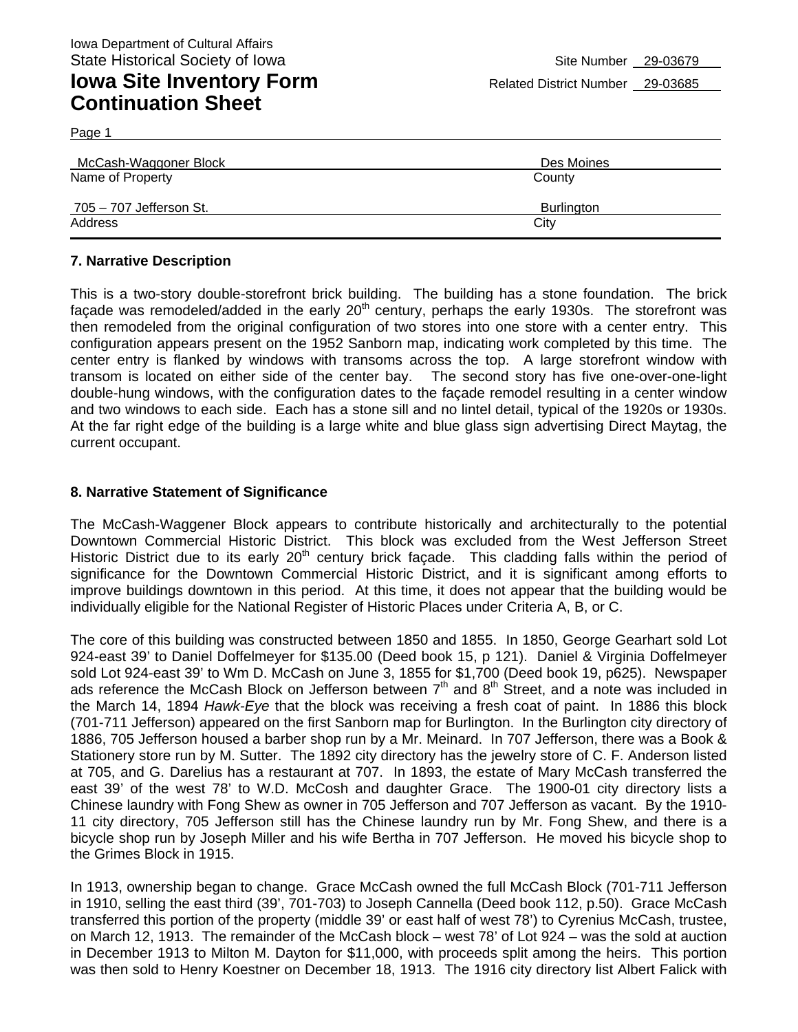Page 1

| McCash-Waggoner Block   | Des Moines |
|-------------------------|------------|
| Name of Property        | County     |
|                         |            |
| 705 - 707 Jefferson St. | Burlington |
| Address                 | City       |
|                         |            |

#### **7. Narrative Description**

This is a two-story double-storefront brick building. The building has a stone foundation. The brick facade was remodeled/added in the early 20<sup>th</sup> century, perhaps the early 1930s. The storefront was then remodeled from the original configuration of two stores into one store with a center entry. This configuration appears present on the 1952 Sanborn map, indicating work completed by this time. The center entry is flanked by windows with transoms across the top. A large storefront window with transom is located on either side of the center bay. The second story has five one-over-one-light double-hung windows, with the configuration dates to the façade remodel resulting in a center window and two windows to each side. Each has a stone sill and no lintel detail, typical of the 1920s or 1930s. At the far right edge of the building is a large white and blue glass sign advertising Direct Maytag, the current occupant.

#### **8. Narrative Statement of Significance**

The McCash-Waggener Block appears to contribute historically and architecturally to the potential Downtown Commercial Historic District. This block was excluded from the West Jefferson Street Historic District due to its early 20<sup>th</sup> century brick façade. This cladding falls within the period of significance for the Downtown Commercial Historic District, and it is significant among efforts to improve buildings downtown in this period. At this time, it does not appear that the building would be individually eligible for the National Register of Historic Places under Criteria A, B, or C.

The core of this building was constructed between 1850 and 1855. In 1850, George Gearhart sold Lot 924-east 39' to Daniel Doffelmeyer for \$135.00 (Deed book 15, p 121). Daniel & Virginia Doffelmeyer sold Lot 924-east 39' to Wm D. McCash on June 3, 1855 for \$1,700 (Deed book 19, p625). Newspaper ads reference the McCash Block on Jefferson between  $7<sup>th</sup>$  and  $8<sup>th</sup>$  Street, and a note was included in the March 14, 1894 *Hawk-Eye* that the block was receiving a fresh coat of paint. In 1886 this block (701-711 Jefferson) appeared on the first Sanborn map for Burlington. In the Burlington city directory of 1886, 705 Jefferson housed a barber shop run by a Mr. Meinard. In 707 Jefferson, there was a Book & Stationery store run by M. Sutter. The 1892 city directory has the jewelry store of C. F. Anderson listed at 705, and G. Darelius has a restaurant at 707. In 1893, the estate of Mary McCash transferred the east 39' of the west 78' to W.D. McCosh and daughter Grace. The 1900-01 city directory lists a Chinese laundry with Fong Shew as owner in 705 Jefferson and 707 Jefferson as vacant. By the 1910- 11 city directory, 705 Jefferson still has the Chinese laundry run by Mr. Fong Shew, and there is a bicycle shop run by Joseph Miller and his wife Bertha in 707 Jefferson. He moved his bicycle shop to the Grimes Block in 1915.

In 1913, ownership began to change. Grace McCash owned the full McCash Block (701-711 Jefferson in 1910, selling the east third (39', 701-703) to Joseph Cannella (Deed book 112, p.50). Grace McCash transferred this portion of the property (middle 39' or east half of west 78') to Cyrenius McCash, trustee, on March 12, 1913. The remainder of the McCash block – west 78' of Lot 924 – was the sold at auction in December 1913 to Milton M. Dayton for \$11,000, with proceeds split among the heirs. This portion was then sold to Henry Koestner on December 18, 1913. The 1916 city directory list Albert Falick with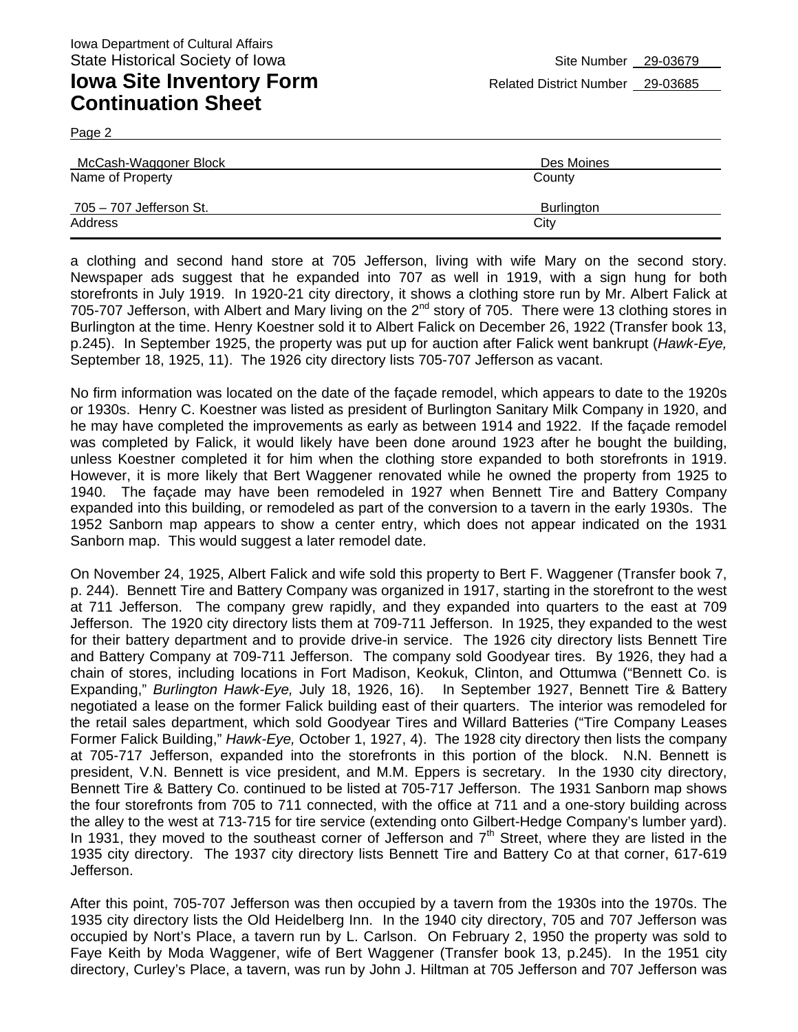Page 2

| McCash-Waggoner Block   | Des Moines |
|-------------------------|------------|
| Name of Property        | County     |
| 705 - 707 Jefferson St. | Burlington |
| Address                 | City       |

a clothing and second hand store at 705 Jefferson, living with wife Mary on the second story. Newspaper ads suggest that he expanded into 707 as well in 1919, with a sign hung for both storefronts in July 1919. In 1920-21 city directory, it shows a clothing store run by Mr. Albert Falick at 705-707 Jefferson, with Albert and Mary living on the 2<sup>nd</sup> story of 705. There were 13 clothing stores in Burlington at the time. Henry Koestner sold it to Albert Falick on December 26, 1922 (Transfer book 13, p.245). In September 1925, the property was put up for auction after Falick went bankrupt (*Hawk-Eye,*  September 18, 1925, 11). The 1926 city directory lists 705-707 Jefferson as vacant.

No firm information was located on the date of the façade remodel, which appears to date to the 1920s or 1930s. Henry C. Koestner was listed as president of Burlington Sanitary Milk Company in 1920, and he may have completed the improvements as early as between 1914 and 1922. If the façade remodel was completed by Falick, it would likely have been done around 1923 after he bought the building, unless Koestner completed it for him when the clothing store expanded to both storefronts in 1919. However, it is more likely that Bert Waggener renovated while he owned the property from 1925 to 1940. The façade may have been remodeled in 1927 when Bennett Tire and Battery Company expanded into this building, or remodeled as part of the conversion to a tavern in the early 1930s. The 1952 Sanborn map appears to show a center entry, which does not appear indicated on the 1931 Sanborn map. This would suggest a later remodel date.

On November 24, 1925, Albert Falick and wife sold this property to Bert F. Waggener (Transfer book 7, p. 244). Bennett Tire and Battery Company was organized in 1917, starting in the storefront to the west at 711 Jefferson. The company grew rapidly, and they expanded into quarters to the east at 709 Jefferson. The 1920 city directory lists them at 709-711 Jefferson. In 1925, they expanded to the west for their battery department and to provide drive-in service. The 1926 city directory lists Bennett Tire and Battery Company at 709-711 Jefferson. The company sold Goodyear tires. By 1926, they had a chain of stores, including locations in Fort Madison, Keokuk, Clinton, and Ottumwa ("Bennett Co. is Expanding," *Burlington Hawk-Eye,* July 18, 1926, 16). In September 1927, Bennett Tire & Battery negotiated a lease on the former Falick building east of their quarters. The interior was remodeled for the retail sales department, which sold Goodyear Tires and Willard Batteries ("Tire Company Leases Former Falick Building," *Hawk-Eye,* October 1, 1927, 4). The 1928 city directory then lists the company at 705-717 Jefferson, expanded into the storefronts in this portion of the block. N.N. Bennett is president, V.N. Bennett is vice president, and M.M. Eppers is secretary. In the 1930 city directory, Bennett Tire & Battery Co. continued to be listed at 705-717 Jefferson. The 1931 Sanborn map shows the four storefronts from 705 to 711 connected, with the office at 711 and a one-story building across the alley to the west at 713-715 for tire service (extending onto Gilbert-Hedge Company's lumber yard). In 1931, they moved to the southeast corner of Jefferson and  $7<sup>th</sup>$  Street, where they are listed in the 1935 city directory. The 1937 city directory lists Bennett Tire and Battery Co at that corner, 617-619 Jefferson.

After this point, 705-707 Jefferson was then occupied by a tavern from the 1930s into the 1970s. The 1935 city directory lists the Old Heidelberg Inn. In the 1940 city directory, 705 and 707 Jefferson was occupied by Nort's Place, a tavern run by L. Carlson. On February 2, 1950 the property was sold to Faye Keith by Moda Waggener, wife of Bert Waggener (Transfer book 13, p.245). In the 1951 city directory, Curley's Place, a tavern, was run by John J. Hiltman at 705 Jefferson and 707 Jefferson was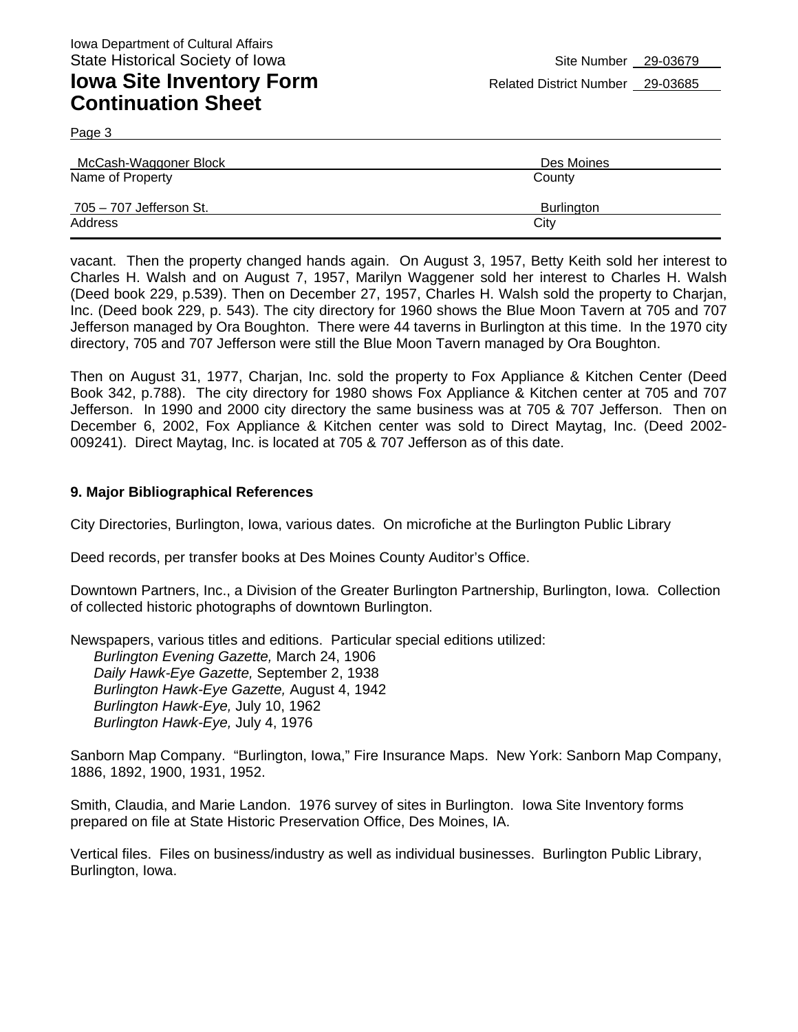Page 3

| McCash-Waggoner Block   | Des Moines |
|-------------------------|------------|
| Name of Property        | County     |
| 705 - 707 Jefferson St. | Burlington |
| Address                 | City       |

vacant. Then the property changed hands again. On August 3, 1957, Betty Keith sold her interest to Charles H. Walsh and on August 7, 1957, Marilyn Waggener sold her interest to Charles H. Walsh (Deed book 229, p.539). Then on December 27, 1957, Charles H. Walsh sold the property to Charjan, Inc. (Deed book 229, p. 543). The city directory for 1960 shows the Blue Moon Tavern at 705 and 707 Jefferson managed by Ora Boughton. There were 44 taverns in Burlington at this time. In the 1970 city directory, 705 and 707 Jefferson were still the Blue Moon Tavern managed by Ora Boughton.

Then on August 31, 1977, Charjan, Inc. sold the property to Fox Appliance & Kitchen Center (Deed Book 342, p.788). The city directory for 1980 shows Fox Appliance & Kitchen center at 705 and 707 Jefferson. In 1990 and 2000 city directory the same business was at 705 & 707 Jefferson. Then on December 6, 2002, Fox Appliance & Kitchen center was sold to Direct Maytag, Inc. (Deed 2002- 009241). Direct Maytag, Inc. is located at 705 & 707 Jefferson as of this date.

#### **9. Major Bibliographical References**

*Burlington Hawk-Eye,* July 4, 1976

City Directories, Burlington, Iowa, various dates. On microfiche at the Burlington Public Library

Deed records, per transfer books at Des Moines County Auditor's Office.

Downtown Partners, Inc., a Division of the Greater Burlington Partnership, Burlington, Iowa. Collection of collected historic photographs of downtown Burlington.

Newspapers, various titles and editions. Particular special editions utilized: *Burlington Evening Gazette,* March 24, 1906 *Daily Hawk-Eye Gazette,* September 2, 1938 *Burlington Hawk-Eye Gazette,* August 4, 1942 *Burlington Hawk-Eye,* July 10, 1962

Sanborn Map Company. "Burlington, Iowa," Fire Insurance Maps. New York: Sanborn Map Company, 1886, 1892, 1900, 1931, 1952.

Smith, Claudia, and Marie Landon. 1976 survey of sites in Burlington. Iowa Site Inventory forms prepared on file at State Historic Preservation Office, Des Moines, IA.

Vertical files. Files on business/industry as well as individual businesses. Burlington Public Library, Burlington, Iowa.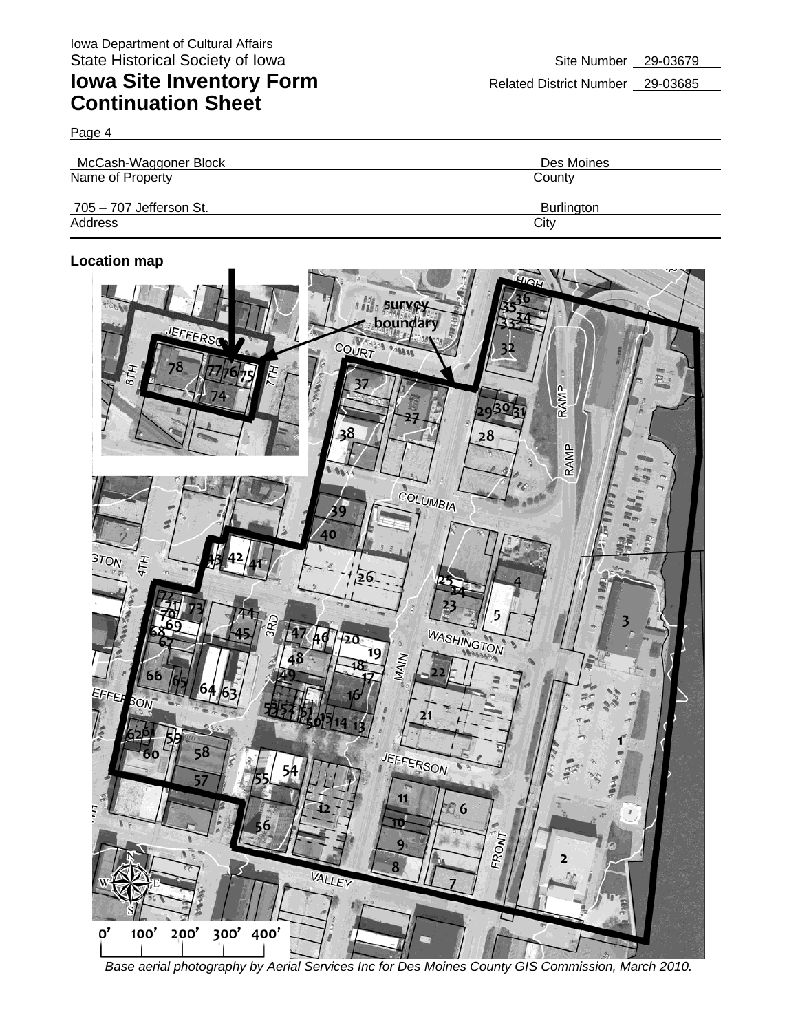Page 4

| McCash-Waggoner Block   | Des Moines        |
|-------------------------|-------------------|
| Name of Property        | County            |
| 705 - 707 Jefferson St. | <b>Burlington</b> |
| Address                 | City              |

### **Location map**



*Base aerial photography by Aerial Services Inc for Des Moines County GIS Commission, March 2010.*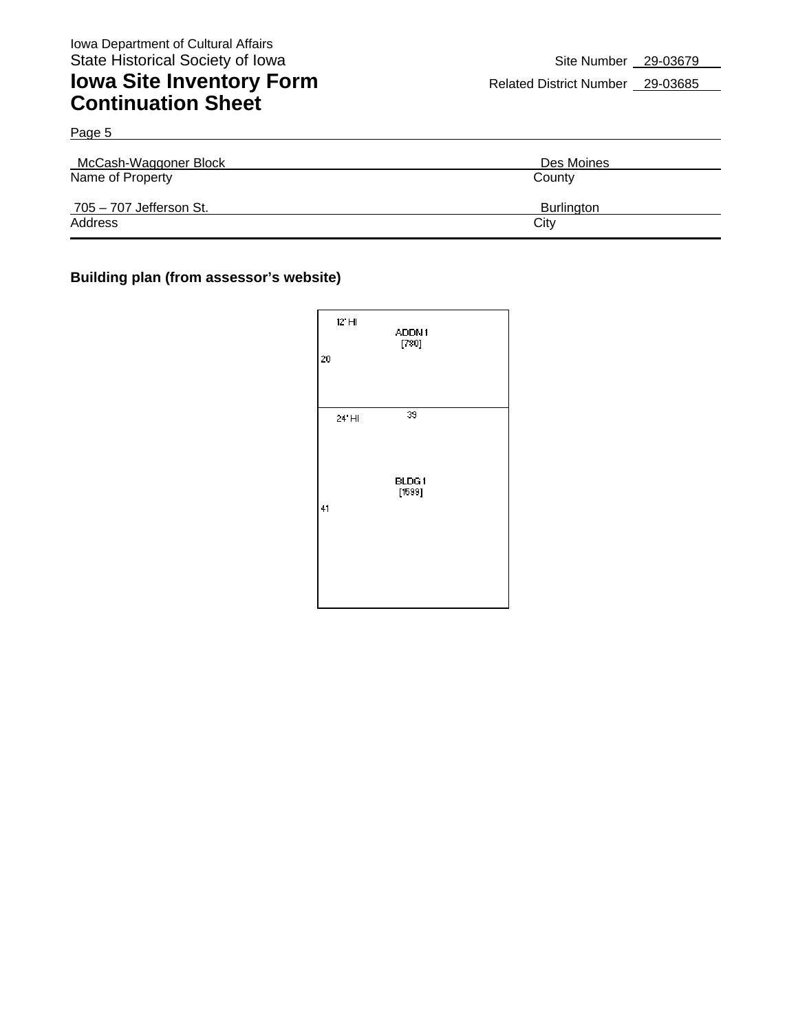Page 5

## **Iowa Site Inventory Form** Related District Number 29-03685 **Continuation Sheet**

| McCash-Waggoner Block   | Des Moines |  |
|-------------------------|------------|--|
| Name of Property        | County     |  |
| 705 – 707 Jefferson St. | Burlington |  |
| Address                 | City       |  |

### **Building plan (from assessor's website)**

| 12' HI<br>$\overline{20}$ | ADDN1<br>[780]  |  |
|---------------------------|-----------------|--|
| 24' HI                    | 39              |  |
| 41                        | BLDG1<br>[1599] |  |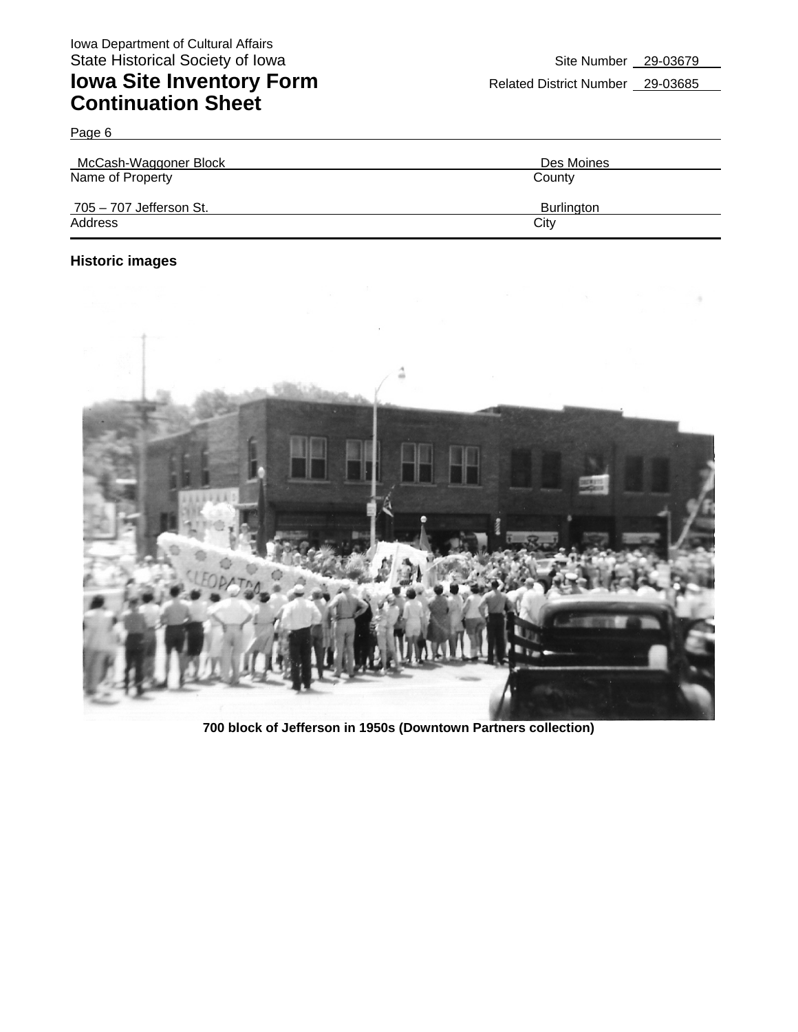| McCash-Waggoner Block   | Des Moines |
|-------------------------|------------|
| Name of Property        | County     |
| 705 - 707 Jefferson St. | Burlington |
| Address                 | City       |

### **Historic images**

Page 6



**700 block of Jefferson in 1950s (Downtown Partners collection)**